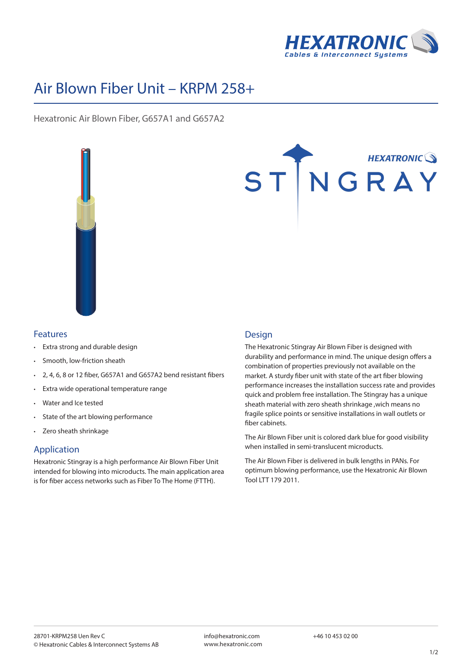

# Air Blown Fiber Unit – KRPM 258+

Hexatronic Air Blown Fiber, G657A1 and G657A2





### Features

- Extra strong and durable design
- Smooth, low-friction sheath
- 2, 4, 6, 8 or 12 fiber, G657A1 and G657A2 bend resistant fibers
- Extra wide operational temperature range
- Water and Ice tested
- State of the art blowing performance
- Zero sheath shrinkage

## Application

Hexatronic Stingray is a high performance Air Blown Fiber Unit intended for blowing into microducts. The main application area is for fiber access networks such as Fiber To The Home (FTTH).

### Design

The Hexatronic Stingray Air Blown Fiber is designed with durability and performance in mind. The unique design offers a combination of properties previously not available on the market. A sturdy fiber unit with state of the art fiber blowing performance increases the installation success rate and provides quick and problem free installation. The Stingray has a unique sheath material with zero sheath shrinkage ,wich means no fragile splice points or sensitive installations in wall outlets or fiber cabinets.

The Air Blown Fiber unit is colored dark blue for good visibility when installed in semi-translucent microducts.

The Air Blown Fiber is delivered in bulk lengths in PANs. For optimum blowing performance, use the Hexatronic Air Blown Tool LTT 179 2011.